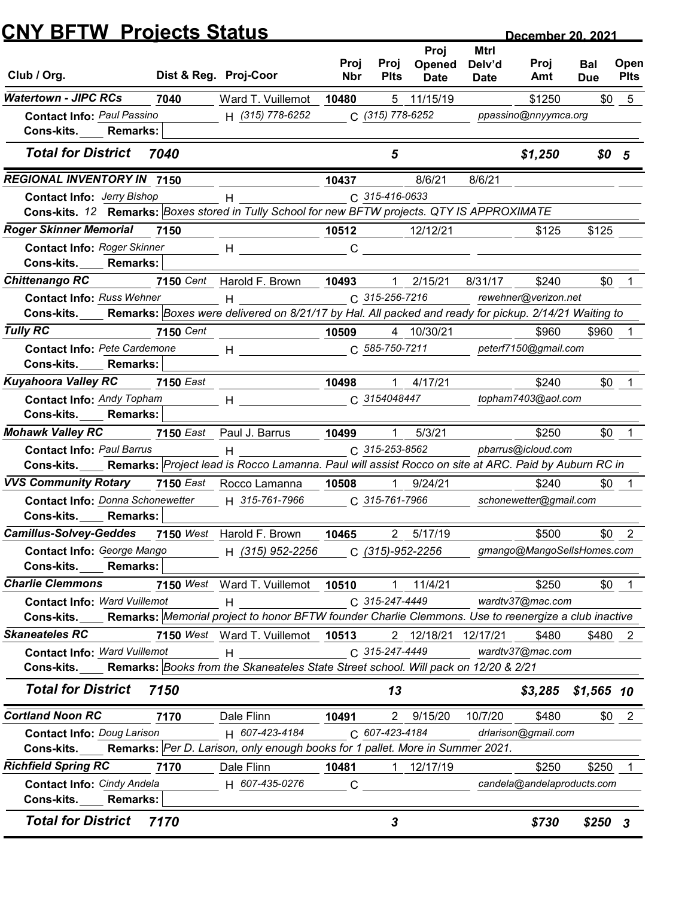|                                                                                                                                                    | <b>CNY BFTW Projects Status</b> |                                                                                                                                                                                                                               |                       |                       |                     |                       | December 20, 2021                   |                  |              |
|----------------------------------------------------------------------------------------------------------------------------------------------------|---------------------------------|-------------------------------------------------------------------------------------------------------------------------------------------------------------------------------------------------------------------------------|-----------------------|-----------------------|---------------------|-----------------------|-------------------------------------|------------------|--------------|
|                                                                                                                                                    |                                 |                                                                                                                                                                                                                               | Proj                  | Proj                  | Proj<br>Opened      | <b>Mtrl</b><br>Delv'd | Proj                                | Bal              | Open         |
| Club / Org.                                                                                                                                        |                                 | Dist & Reg. Proj-Coor                                                                                                                                                                                                         | <b>Nbr</b>            | <b>Plts</b>           | <b>Date</b>         | <b>Date</b>           | Amt                                 | <b>Due</b>       | <b>Plts</b>  |
| <b>Watertown - JIPC RCs</b>                                                                                                                        | 7040                            | Ward T. Vuillemot                                                                                                                                                                                                             | 10480                 |                       | 5 11/15/19          |                       | \$1250                              | \$0              | 5            |
| <b>Contact Info: Paul Passino</b><br>Cons-kits.<br><b>Remarks:</b>                                                                                 |                                 | H (315) 778-6252                                                                                                                                                                                                              |                       | C (315) 778-6252      |                     |                       | ppassino@nnyymca.org                |                  |              |
| <b>Total for District</b>                                                                                                                          | 7040                            |                                                                                                                                                                                                                               |                       | 5                     |                     |                       | \$1,250                             | \$0 <sub>5</sub> |              |
| <b>REGIONAL INVENTORY IN 7150</b>                                                                                                                  |                                 |                                                                                                                                                                                                                               | 10437                 |                       | 8/6/21              | 8/6/21                |                                     |                  |              |
| <b>Contact Info: Jerry Bishop</b>                                                                                                                  |                                 | н                                                                                                                                                                                                                             |                       | C 315-416-0633        |                     |                       |                                     |                  |              |
| Cons-kits. 12 Remarks: Boxes stored in Tully School for new BFTW projects. QTY IS APPROXIMATE                                                      |                                 |                                                                                                                                                                                                                               |                       |                       |                     |                       |                                     |                  |              |
| <b>Roger Skinner Memorial</b>                                                                                                                      | 7150                            |                                                                                                                                                                                                                               | 10512                 |                       | 12/12/21            |                       | \$125                               | \$125            |              |
| <b>Contact Info: Roger Skinner</b><br>Cons-kits.<br><b>Remarks:</b>                                                                                |                                 | Н                                                                                                                                                                                                                             | C                     |                       |                     |                       |                                     |                  |              |
| <b>Chittenango RC</b>                                                                                                                              | 7150 Cent                       | Harold F. Brown                                                                                                                                                                                                               | 10493                 |                       | 2/15/21             | 8/31/17               | \$240                               | \$0              |              |
| <b>Contact Info: Russ Wehner</b>                                                                                                                   |                                 | $H$ and $H$ and $H$                                                                                                                                                                                                           |                       | C 315-256-7216        |                     |                       | rewehner@verizon.net                |                  |              |
| Cons-kits. Remarks: Boxes were delivered on 8/21/17 by Hal. All packed and ready for pickup. 2/14/21 Waiting to                                    |                                 |                                                                                                                                                                                                                               |                       |                       |                     |                       |                                     |                  |              |
| <b>Tully RC</b>                                                                                                                                    | <b>7150</b> Cent                | $\begin{array}{c c} \hline \textbf{10509} \end{array}$                                                                                                                                                                        |                       |                       | 4 10/30/21          |                       | \$960                               | \$960 1          |              |
| Contact Info: Pete Cardemone                                                                                                                       |                                 | $H$ and $H$ and $H$ and $H$ and $H$ and $H$ and $H$ and $H$ and $H$ and $H$ and $H$ and $H$ and $H$ and $H$ and $H$ and $H$ and $H$ and $H$ and $H$ and $H$ and $H$ and $H$ and $H$ and $H$ and $H$ and $H$ and $H$ and $H$ a |                       | $C. 585 - 750 - 7211$ |                     |                       | peterf7150@gmail.com                |                  |              |
| Cons-kits.<br><b>Remarks:</b>                                                                                                                      |                                 |                                                                                                                                                                                                                               |                       |                       |                     |                       |                                     |                  |              |
| <b>Kuyahoora Valley RC</b>                                                                                                                         | <b>7150 East</b>                |                                                                                                                                                                                                                               | 10498                 | $\mathbf 1$           | 4/17/21             |                       | \$240                               |                  | $$0 \quad 1$ |
| <b>Contact Info: Andy Topham</b>                                                                                                                   |                                 | $H$ and the set of $H$                                                                                                                                                                                                        |                       | C 3154048447          |                     |                       | topham7403@aol.com                  |                  |              |
| Cons-kits.<br><b>Remarks:</b>                                                                                                                      |                                 |                                                                                                                                                                                                                               |                       |                       |                     |                       |                                     |                  |              |
| <b>Mohawk Valley RC</b>                                                                                                                            |                                 | 7150 East Paul J. Barrus                                                                                                                                                                                                      | 10499                 | $\overline{1}$        | 5/3/21              |                       | \$250                               |                  | $$0$ 1       |
| <b>Contact Info: Paul Barrus</b><br>Cons-kits. Remarks: Project lead is Rocco Lamanna. Paul will assist Rocco on site at ARC. Paid by Auburn RC in |                                 | H                                                                                                                                                                                                                             |                       | C 315-253-8562        |                     |                       | pbarrus@icloud.com                  |                  |              |
| <b>VVS Community Rotary</b> 7150 East Rocco Lamanna                                                                                                |                                 |                                                                                                                                                                                                                               | 10508                 | $\overline{1}$        | 9/24/21             |                       | \$240                               | \$0              |              |
| <b>Contact Info: Donna Schonewetter</b>                                                                                                            |                                 | H 315-761-7966                                                                                                                                                                                                                |                       | C 315-761-7966        |                     |                       | schonewetter@gmail.com              |                  |              |
| Cons-kits. Remarks:                                                                                                                                |                                 |                                                                                                                                                                                                                               |                       |                       |                     |                       |                                     |                  |              |
| Camillus-Solvey-Geddes 7150 West Harold F. Brown                                                                                                   |                                 |                                                                                                                                                                                                                               | 10465                 |                       | 2 5/17/19           |                       | \$500                               |                  | $$0 \t2$     |
| Contact Info: George Mango                                                                                                                         |                                 | H (315) 952-2256                                                                                                                                                                                                              |                       |                       | C (315)-952-2256    |                       | gmango@MangoSellsHomes.com          |                  |              |
| Cons-kits. Remarks:                                                                                                                                |                                 |                                                                                                                                                                                                                               |                       |                       |                     |                       |                                     |                  |              |
| <b>Charlie Clemmons</b>                                                                                                                            |                                 | 7150 West Ward T. Vuillemot 10510                                                                                                                                                                                             |                       |                       | 1 11/4/21           |                       | \$250                               |                  | $$0 \quad 1$ |
| <b>Contact Info: Ward Vuillemot</b>                                                                                                                |                                 | H                                                                                                                                                                                                                             |                       | C 315-247-4449        |                     |                       | wardtv37@mac.com                    |                  |              |
| <b>Cons-kits.</b>                                                                                                                                  |                                 | Remarks: Memorial project to honor BFTW founder Charlie Clemmons. Use to reenergize a club inactive                                                                                                                           |                       |                       |                     |                       |                                     |                  |              |
| <b>Skaneateles RC</b>                                                                                                                              |                                 | 7150 West Ward T. Vuillemot 10513                                                                                                                                                                                             |                       |                       | 2 12/18/21 12/17/21 |                       | \$480                               | \$480 2          |              |
| <b>Contact Info: Ward Vuillemot</b>                                                                                                                |                                 | H                                                                                                                                                                                                                             |                       | C 315-247-4449        |                     |                       | wardtv37@mac.com                    |                  |              |
| Cons-kits. Remarks: Books from the Skaneateles State Street school. Will pack on 12/20 & 2/21                                                      |                                 |                                                                                                                                                                                                                               |                       |                       |                     |                       |                                     |                  |              |
| <b>Total for District 7150</b>                                                                                                                     |                                 |                                                                                                                                                                                                                               |                       | 13                    |                     |                       | $$3,285$ $$1,565$ 10                |                  |              |
| <b>Cortland Noon RC</b>                                                                                                                            | 7170                            | Dale Flinn                                                                                                                                                                                                                    | 10491                 |                       | 2 9/15/20           | 10/7/20               | \$480                               |                  | $$0 \quad 2$ |
| <b>Contact Info: Doug Larison</b>                                                                                                                  |                                 | H 607-423-4184<br>Remarks: Per D. Larison, only enough books for 1 pallet. More in Summer 2021.                                                                                                                               |                       | C 607-423-4184        |                     |                       | drlarison@gmail.com                 |                  |              |
| Cons-kits.<br><b>Richfield Spring RC</b>                                                                                                           |                                 |                                                                                                                                                                                                                               |                       |                       |                     |                       |                                     |                  |              |
| <b>Contact Info: Cindy Andela</b>                                                                                                                  | 7170                            | Dale Flinn<br>H 607-435-0276                                                                                                                                                                                                  | 10481<br>$\mathsf{C}$ |                       | 1 12/17/19          |                       | \$250<br>candela@andelaproducts.com | \$250            |              |
| Cons-kits._____ Remarks:                                                                                                                           |                                 |                                                                                                                                                                                                                               |                       |                       |                     |                       |                                     |                  |              |
|                                                                                                                                                    |                                 |                                                                                                                                                                                                                               |                       | 3                     |                     |                       | \$730                               | $$250$ 3         |              |
| <b>Total for District</b>                                                                                                                          | 7170                            |                                                                                                                                                                                                                               |                       |                       |                     |                       |                                     |                  |              |